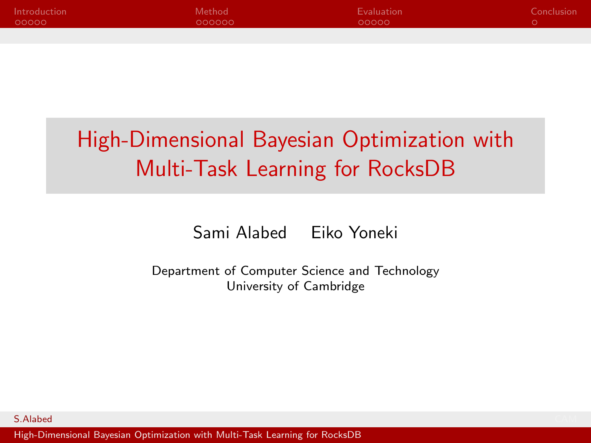<span id="page-0-0"></span>

| Introduction | Method | Evaluation | Conclusion |
|--------------|--------|------------|------------|
| 00000        | 000000 | LOOOOO!    |            |
|              |        |            |            |

# High-Dimensional Bayesian Optimization with Multi-Task Learning for RocksDB

Sami Alabed Eiko Yoneki

Department of Computer Science and Technology University of Cambridge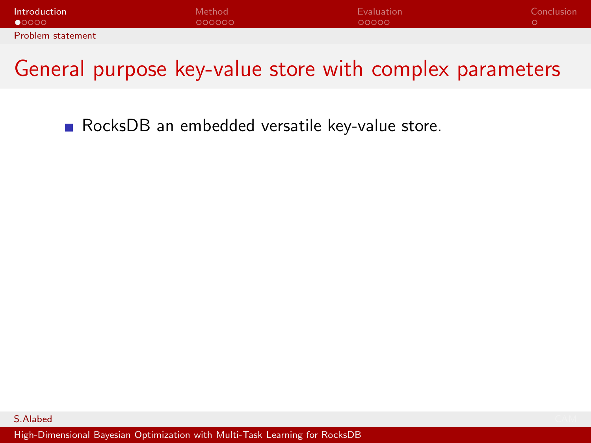<span id="page-1-0"></span>

| Introduction             | Method <sup>1</sup> | Evaluation | Conclusion |
|--------------------------|---------------------|------------|------------|
| $\bullet$ 0000           | OOOOOO              | 00000      |            |
| <b>Problem statement</b> |                     |            |            |

RocksDB an embedded versatile key-value store.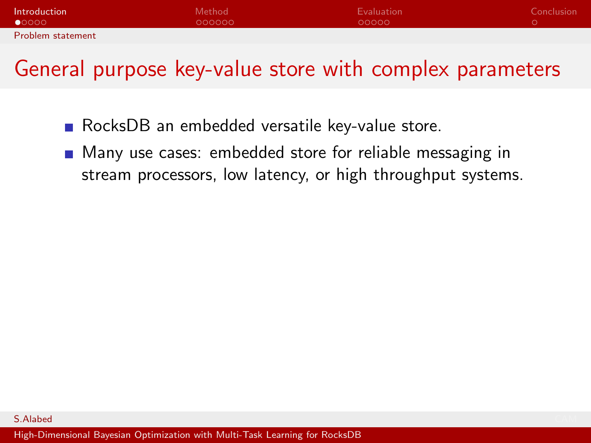| Introduction             | Method <sup>1</sup> | Evaluation | Conclusion |
|--------------------------|---------------------|------------|------------|
| $\bullet$ 0000           | 000000              | 00000      |            |
| <b>Problem statement</b> |                     |            |            |

- RocksDB an embedded versatile key-value store.
- **Many use cases: embedded store for reliable messaging in** stream processors, low latency, or high throughput systems.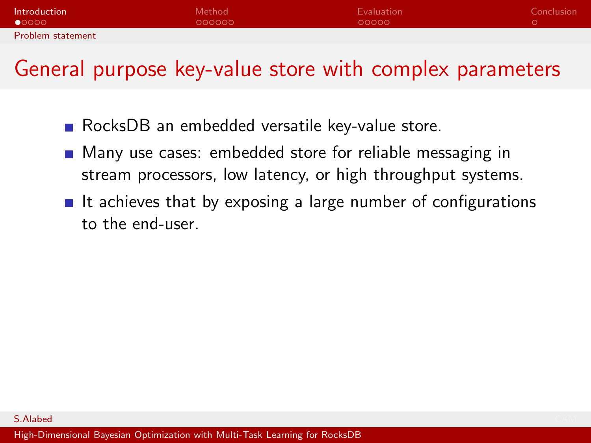| Introduction             | Method <sup>1</sup> | Evaluation | Conclusion |
|--------------------------|---------------------|------------|------------|
| $\bullet$ 0000           | OOOOOO              | 00000      |            |
| <b>Problem statement</b> |                     |            |            |

- RocksDB an embedded versatile key-value store.
- **Many use cases: embedded store for reliable messaging in** stream processors, low latency, or high throughput systems.
- If achieves that by exposing a large number of configurations to the end-user.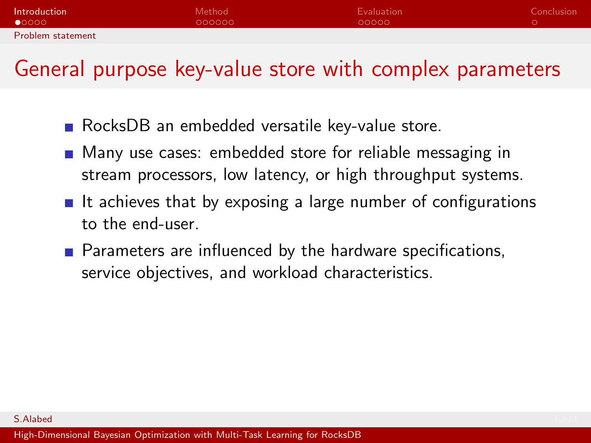| Introduction             | Method | Evaluation | Conclusion |
|--------------------------|--------|------------|------------|
| $\bullet$ 0000           | OOOOOO | 00000      |            |
| <b>Problem statement</b> |        |            |            |

- RocksDB an embedded versatile key-value store.
- **Many use cases: embedded store for reliable messaging in** stream processors, low latency, or high throughput systems.
- If achieves that by exposing a large number of configurations to the end-user.
- **Parameters are influenced by the hardware specifications,** service objectives, and workload characteristics.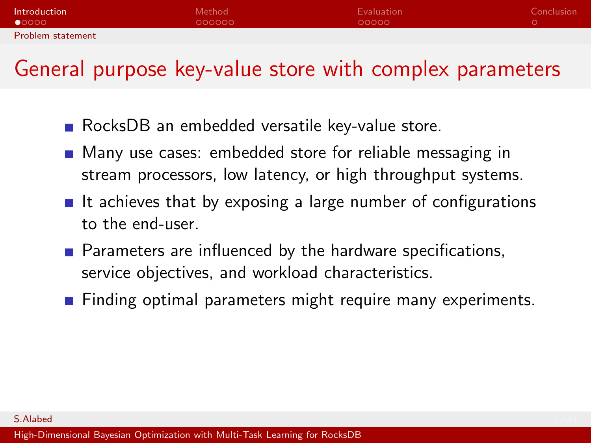| Introduction             | Method | Evaluation | Conclusion |
|--------------------------|--------|------------|------------|
| $\bullet$ 0000           | OOOOOO | 00000      |            |
| <b>Problem statement</b> |        |            |            |

- RocksDB an embedded versatile key-value store.
- **Many use cases: embedded store for reliable messaging in** stream processors, low latency, or high throughput systems.
- If achieves that by exposing a large number of configurations to the end-user.
- **Parameters are influenced by the hardware specifications,** service objectives, and workload characteristics.
- **Finding optimal parameters might require many experiments.**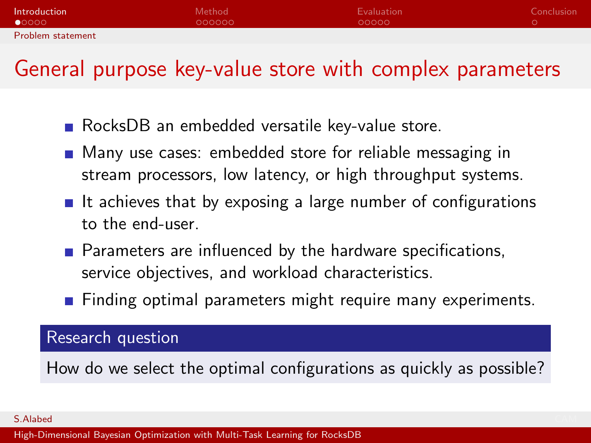| Introduction             | Method <sup>1</sup> | Evaluation | Conclusion |
|--------------------------|---------------------|------------|------------|
| $\bullet$ 0000           | OOOOOO              | 00000      |            |
| <b>Problem statement</b> |                     |            |            |

- RocksDB an embedded versatile key-value store.
- **Many use cases: embedded store for reliable messaging in** stream processors, low latency, or high throughput systems.
- If achieves that by exposing a large number of configurations to the end-user.
- **Parameters are influenced by the hardware specifications,** service objectives, and workload characteristics.
- **Finding optimal parameters might require many experiments.**

#### Research question

How do we select the optimal configurations as quickly as possible?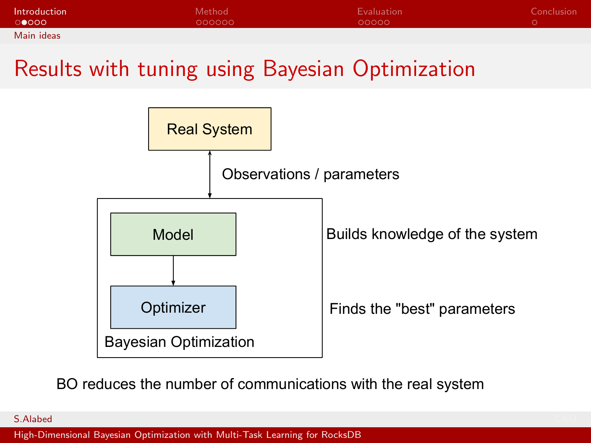<span id="page-7-0"></span>

| Introduction | Method <sup>1</sup> | Evaluation | Conclusion |
|--------------|---------------------|------------|------------|
| ംറൈറ         | 000000              | 00000      |            |
| Main ideas   |                     |            |            |

#### Results with tuning using Bayesian Optimization



BO reduces the number of communications with the real system

S.Alabed CAM **CAM And CAM And CAM And CAM And CAM And CAM And CAM And CAM And CAM And CAM And CAM And CAM And CAM And CAM And CAM And CAM And CAM And CAM And CAM And CAM And CAM And CAM And CAM And CAM And CAM And CAM And**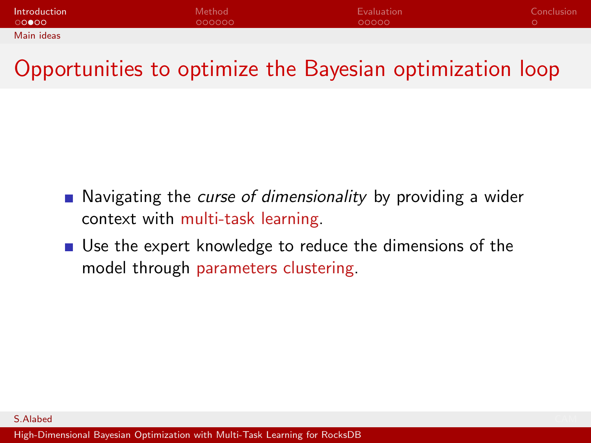| Introduction | <b>Method</b> | <b>Evaluation</b> | Conclusion |
|--------------|---------------|-------------------|------------|
| ററ⊜റെ        | 000000        | 00000             |            |
| Main ideas   |               |                   |            |

### Opportunities to optimize the Bayesian optimization loop

- Navigating the curse of dimensionality by providing a wider context with multi-task learning.
- Use the expert knowledge to reduce the dimensions of the model through parameters clustering.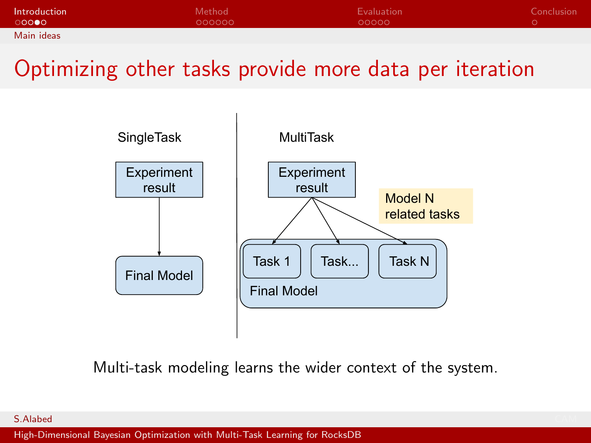| Introduction | Method | Evaluation | Conclusion |
|--------------|--------|------------|------------|
| ാററ⊜റ        | 000000 | LOOOOO     |            |
| Main ideas   |        |            |            |

#### Optimizing other tasks provide more data per iteration



Multi-task modeling learns the wider context of the system.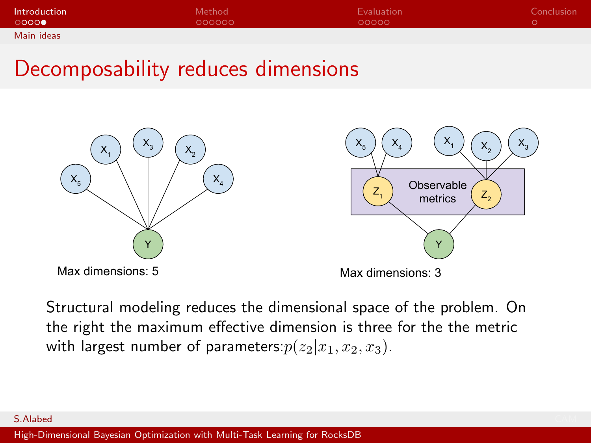| Introduction | Method <sup>1</sup> | Evaluation | Conclusion |
|--------------|---------------------|------------|------------|
| റററെ⊜        | 000000              | 00000      |            |
| Main ideas   |                     |            |            |

#### Decomposability reduces dimensions



Max dimensions: 5



Max dimensions: 3

Structural modeling reduces the dimensional space of the problem. On the right the maximum effective dimension is three for the the metric with largest number of parameters:  $p(z_2|x_1, x_2, x_3)$ .

#### S.Alabed CAM **CAM And CAM And CAM And CAM And CAM And CAM And CAM And CAM And CAM And CAM And CAM And CAM And CAM And CAM And CAM And CAM And CAM And CAM And CAM And CAM And CAM And CAM And CAM And CAM And CAM And CAM And**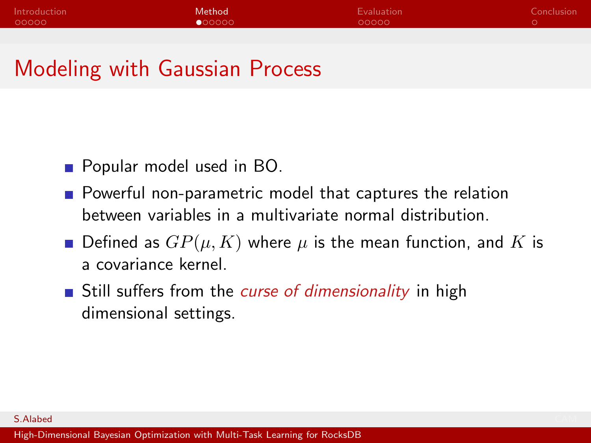<span id="page-11-0"></span>

| Introduction | Method          | Evaluation | Conclusion |
|--------------|-----------------|------------|------------|
| 00000        | $\bullet$ 00000 | 00000      |            |

#### Modeling with Gaussian Process

- **Popular model used in BO.**
- **Powerful non-parametric model that captures the relation** between variables in a multivariate normal distribution.
- **D**efined as  $GP(\mu, K)$  where  $\mu$  is the mean function, and K is a covariance kernel.
- Still suffers from the *curse of dimensionality* in high dimensional settings.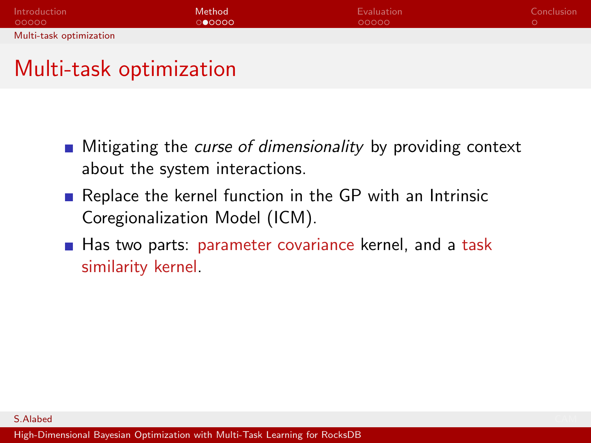<span id="page-12-0"></span>

| Introduction            | Method | Evaluation | Conclusion |
|-------------------------|--------|------------|------------|
| - QOOOO                 | ാ∩റററ  | 00000      |            |
| Multi-task optimization |        |            |            |

### Multi-task optimization

- $\blacksquare$  Mitigating the *curse of dimensionality* by providing context about the system interactions.
- Replace the kernel function in the GP with an Intrinsic Coregionalization Model (ICM).
- Has two parts: parameter covariance kernel, and a task similarity kernel.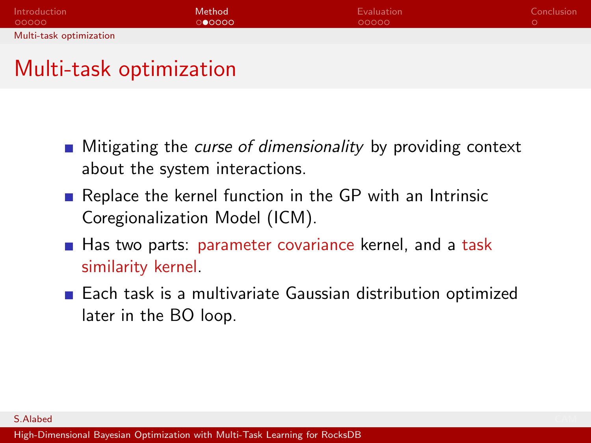| Introduction            | Method | Evaluation | Conclusion |
|-------------------------|--------|------------|------------|
| - QOOOO                 | ൈറെ    | 00000      |            |
| Multi-task optimization |        |            |            |

#### Multi-task optimization

- $\blacksquare$  Mitigating the *curse of dimensionality* by providing context about the system interactions.
- Replace the kernel function in the GP with an Intrinsic Coregionalization Model (ICM).
- Has two parts: parameter covariance kernel, and a task similarity kernel.
- Each task is a multivariate Gaussian distribution optimized later in the BO loop.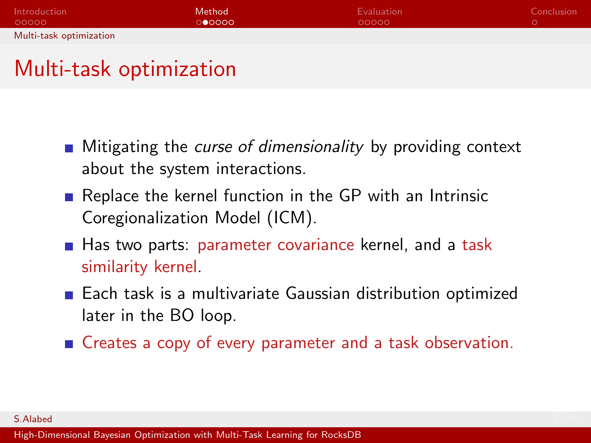| Introduction            | Method | Evaluation | Conclusion |
|-------------------------|--------|------------|------------|
| - QOOOO                 | ൈറെ    | LOOOOO     |            |
| Multi-task optimization |        |            |            |

#### Multi-task optimization

- $\blacksquare$  Mitigating the *curse of dimensionality* by providing context about the system interactions.
- Replace the kernel function in the GP with an Intrinsic Coregionalization Model (ICM).
- Has two parts: parameter covariance kernel, and a task similarity kernel.
- Each task is a multivariate Gaussian distribution optimized later in the BO loop.
- Creates a copy of every parameter and a task observation.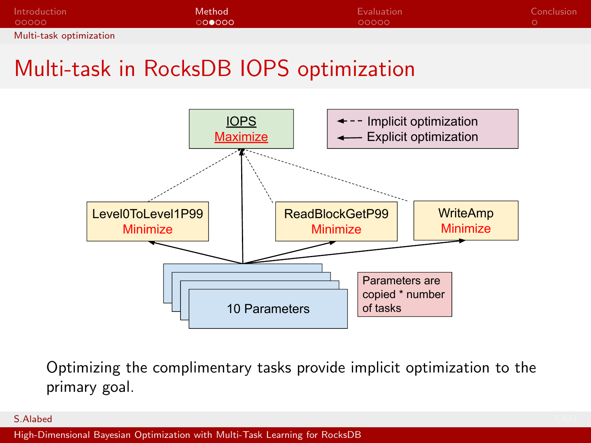| Introduction            | Method | Evaluation | Conclusion |
|-------------------------|--------|------------|------------|
| - QOOOO                 | ററ∎ററെ | 00000      |            |
| Multi-task optimization |        |            |            |

### Multi-task in RocksDB IOPS optimization



Optimizing the complimentary tasks provide implicit optimization to the primary goal.

S.Alabed CAM **CAM And CAM And CAM And CAM And CAM And CAM And CAM And CAM And CAM And CAM And CAM And CAM And CAM And CAM And CAM And CAM And CAM And CAM And CAM And CAM And CAM And CAM And CAM And CAM And CAM And CAM And**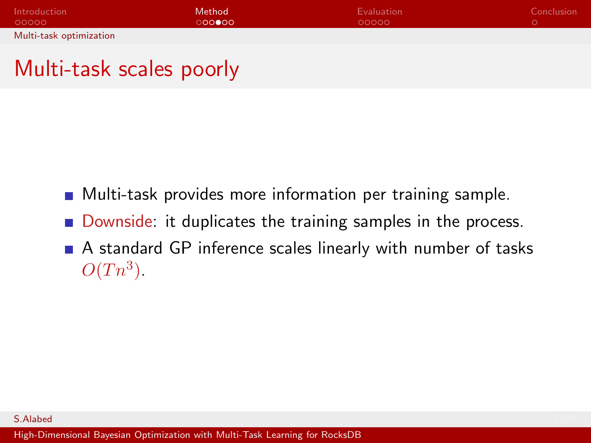| Introduction            | Method | Evaluation | Conclusion |
|-------------------------|--------|------------|------------|
| LOOOOO                  | ററൈറെ  | 00000      |            |
| Multi-task optimization |        |            |            |

#### Multi-task scales poorly

- **Multi-task provides more information per training sample.**
- Downside: it duplicates the training samples in the process.
- A standard GP inference scales linearly with number of tasks  $O(Tn^3)$ .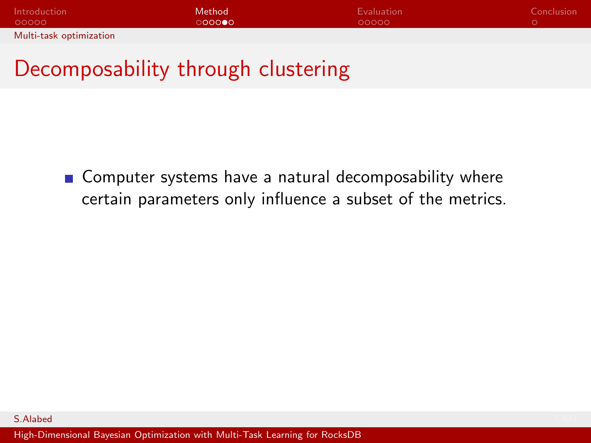| Introduction            | Method | Evaluation | Conclusion |
|-------------------------|--------|------------|------------|
| 00000                   | റററൈ∩  | 00000      |            |
| Multi-task optimization |        |            |            |

### Decomposability through clustering

■ Computer systems have a natural decomposability where certain parameters only influence a subset of the metrics.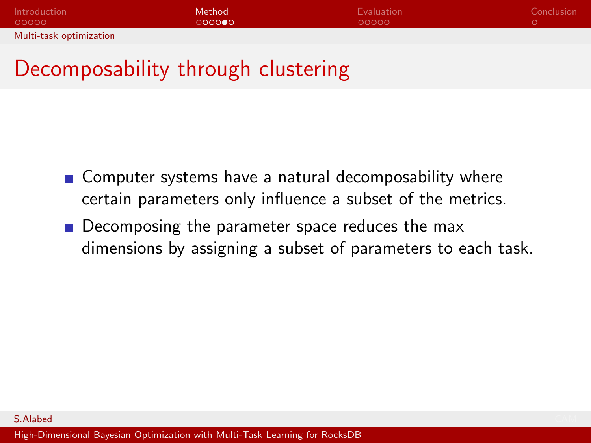| Introduction            | Method | Evaluation | Conclusion |
|-------------------------|--------|------------|------------|
| - QOOOO                 | റററൈ∩  | 00000      |            |
| Multi-task optimization |        |            |            |

## Decomposability through clustering

- Computer systems have a natural decomposability where certain parameters only influence a subset of the metrics.
- Decomposing the parameter space reduces the max dimensions by assigning a subset of parameters to each task.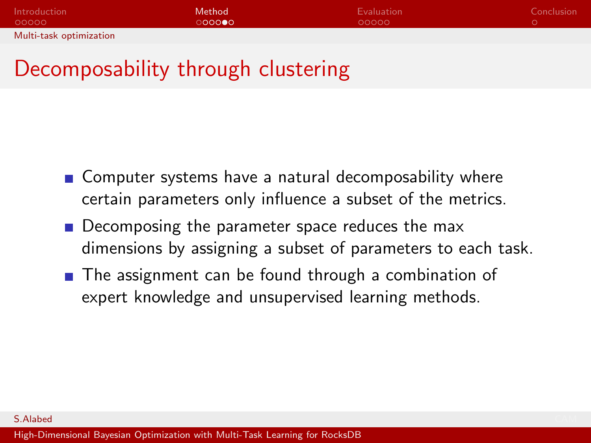| Introduction            | Method | Evaluation | Conclusion |
|-------------------------|--------|------------|------------|
| 00000                   | റററൈ∩  | 00000      |            |
| Multi-task optimization |        |            |            |

## Decomposability through clustering

- Computer systems have a natural decomposability where certain parameters only influence a subset of the metrics.
- Decomposing the parameter space reduces the max dimensions by assigning a subset of parameters to each task.
- The assignment can be found through a combination of expert knowledge and unsupervised learning methods.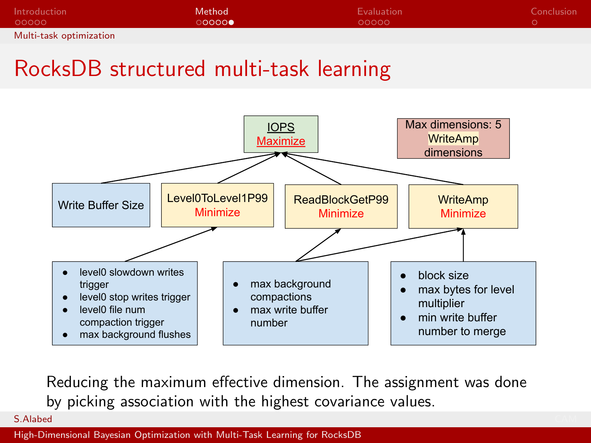| Introduction            | Method | Evaluation | Conclusion |
|-------------------------|--------|------------|------------|
| - 00000 -               | ററററ⊜  | 00000      |            |
| Multi-task optimization |        |            |            |

#### RocksDB structured multi-task learning



Reducing the maximum effective dimension. The assignment was done by picking association with the highest covariance values.

S.Alabed CAM **CAM And CAM And CAM And CAM And CAM And CAM And CAM And CAM And CAM And CAM And CAM And CAM And CAM And CAM And CAM And CAM And CAM And CAM And CAM And CAM And CAM And CAM And CAM And CAM And CAM And CAM And**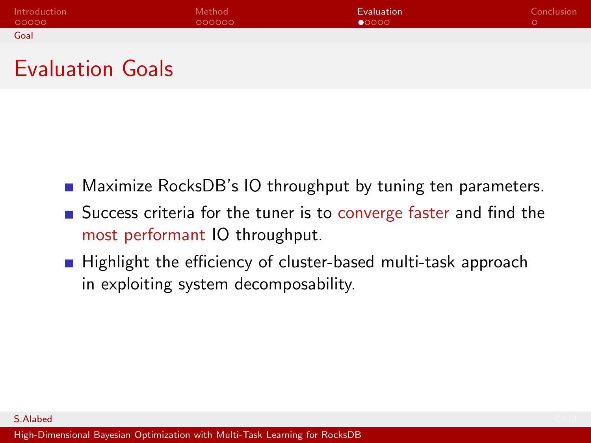<span id="page-21-0"></span>

| Introduction | Method <sup>1</sup> | Evaluation     | Conclusion <sup>1</sup> |
|--------------|---------------------|----------------|-------------------------|
| 00000        | OOOOOO              | $\bullet$ 0000 |                         |
| Goal         |                     |                |                         |

#### Evaluation Goals

- **Maximize RocksDB's IO throughput by tuning ten parameters.**
- Success criteria for the tuner is to converge faster and find the most performant IO throughput.
- Highlight the efficiency of cluster-based multi-task approach in exploiting system decomposability.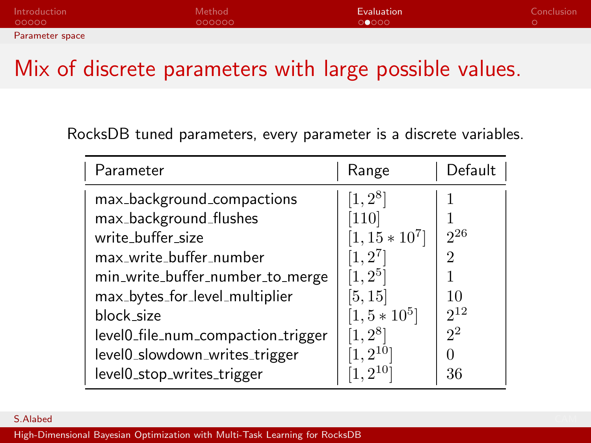<span id="page-22-0"></span>

| Introduction    | Method <sup>1</sup> | Evaluation | Conclusion |
|-----------------|---------------------|------------|------------|
| - റററററ         | OOOOOO              | 00000      |            |
| Parameter space |                     |            |            |

#### Mix of discrete parameters with large possible values.

RocksDB tuned parameters, every parameter is a discrete variables.

| Parameter                          | Range            | Default          |
|------------------------------------|------------------|------------------|
| max_background_compactions         | $[1, 2^8]$       |                  |
| max_background_flushes             | [110]            |                  |
| write_buffer_size                  | $[1, 15 * 10^7]$ | $2^{26}$         |
| max_write_buffer_number            | $[1,2^7]$        | 2                |
| min_write_buffer_number_to_merge   | $[1,2^5]$        |                  |
| max_bytes_for_level_multiplier     | [5,15]           | 10               |
| block_size                         | $[1, 5*10^5]$    | $2^{12}$         |
| level0_file_num_compaction_trigger | $[1, 2^8]$       | 2 <sup>2</sup>   |
| level0_slowdown_writes_trigger     | $1.2^{10}$       | $\left( \right)$ |
| level0_stop_writes_trigger         | 210              | 36               |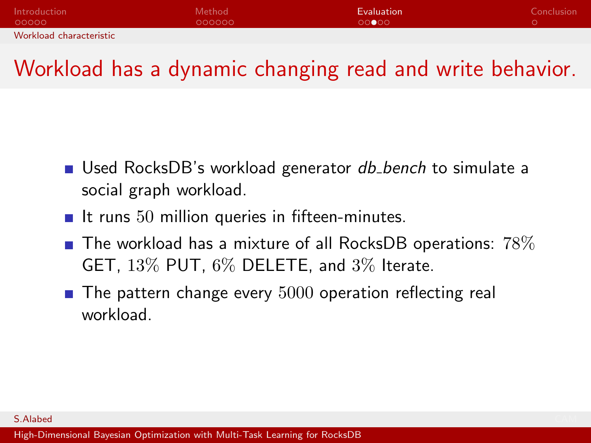<span id="page-23-0"></span>

| Introduction            | Method | <b>Evaluation</b> | Conclusion |
|-------------------------|--------|-------------------|------------|
| - QOOOO                 | 000000 | 00000             |            |
| Workload characteristic |        |                   |            |

#### Workload has a dynamic changing read and write behavior.

- Used RocksDB's workload generator *db\_bench* to simulate a social graph workload.
- It runs  $50$  million queries in fifteen-minutes.
- $\blacksquare$  The workload has a mixture of all RocksDB operations:  $78\%$ GET, 13% PUT, 6% DELETE, and 3% Iterate.
- $\blacksquare$  The pattern change every  $5000$  operation reflecting real workload.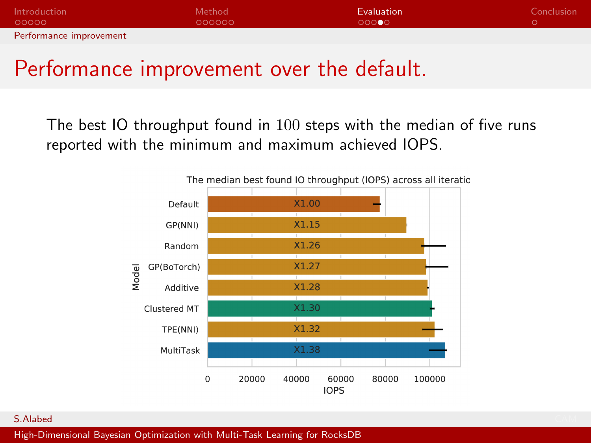<span id="page-24-0"></span>

| Introduction            | Method | <b>Evaluation</b> | Conclusion |
|-------------------------|--------|-------------------|------------|
| - റററററ                 | OOOOOO | 000000            |            |
| Performance improvement |        |                   |            |

#### Performance improvement over the default.

The best IO throughput found in 100 steps with the median of five runs reported with the minimum and maximum achieved IOPS.



S.Alabed CAM **CAM And CAM And CAM And CAM And CAM And CAM And CAM And CAM And CAM And CAM And CAM And CAM And CAM And CAM And CAM And CAM And CAM And CAM And CAM And CAM And CAM And CAM And CAM And CAM And CAM And CAM And**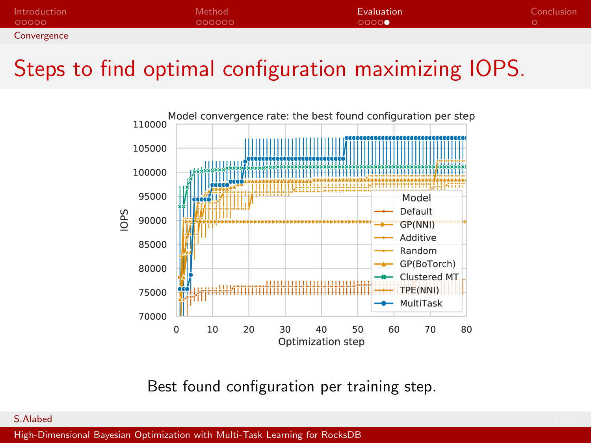<span id="page-25-0"></span>

| Introduction | Method | <b>Evaluation</b> | Conclusion |
|--------------|--------|-------------------|------------|
| 00000        | OOOOOO | 0000              |            |
| Convergence  |        |                   |            |

#### Steps to find optimal configuration maximizing IOPS.



Best found configuration per training step.

#### S.Alabed CAM **CAM And CAM And CAM And CAM And CAM And CAM And CAM And CAM And CAM And CAM And CAM And CAM And CAM And CAM And CAM And CAM And CAM And CAM And CAM And CAM And CAM And CAM And CAM And CAM And CAM And CAM And**